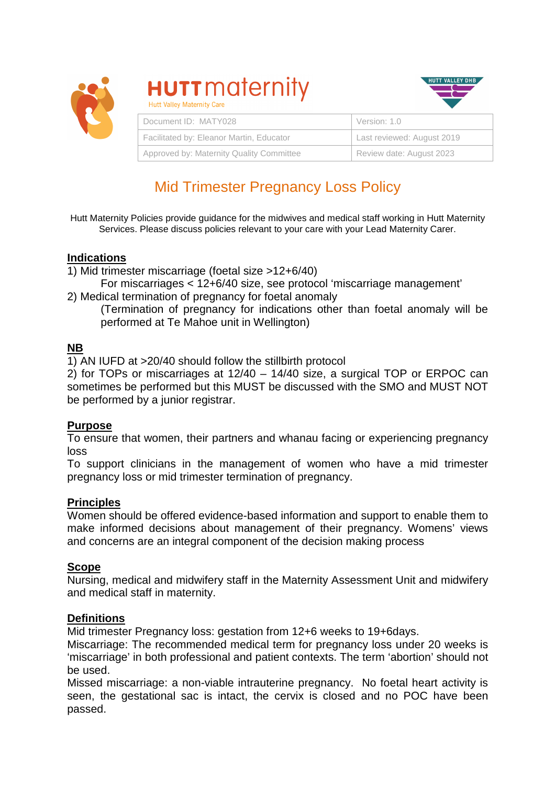

| <b>HUTT</b> maternity<br><b>Hutt Valley Maternity Care</b> |          |
|------------------------------------------------------------|----------|
| Document ID: MATY028                                       | Version: |

 $\sim$ 



| Document ID: MATY028                     | Version: 1.0               |
|------------------------------------------|----------------------------|
| Facilitated by: Eleanor Martin, Educator | Last reviewed: August 2019 |
| Approved by: Maternity Quality Committee | Review date: August 2023   |

# Mid Trimester Pregnancy Loss Policy

Hutt Maternity Policies provide guidance for the midwives and medical staff working in Hutt Maternity Services. Please discuss policies relevant to your care with your Lead Maternity Carer.

# **Indications**

- 1) Mid trimester miscarriage (foetal size >12+6/40)
- For miscarriages < 12+6/40 size, see protocol 'miscarriage management' 2) Medical termination of pregnancy for foetal anomaly
	- (Termination of pregnancy for indications other than foetal anomaly will be performed at Te Mahoe unit in Wellington)

# **NB**

1) AN IUFD at >20/40 should follow the stillbirth protocol

2) for TOPs or miscarriages at 12/40 – 14/40 size, a surgical TOP or ERPOC can sometimes be performed but this MUST be discussed with the SMO and MUST NOT be performed by a junior registrar.

# **Purpose**

To ensure that women, their partners and whanau facing or experiencing pregnancy loss

To support clinicians in the management of women who have a mid trimester pregnancy loss or mid trimester termination of pregnancy.

# **Principles**

Women should be offered evidence-based information and support to enable them to make informed decisions about management of their pregnancy. Womens' views and concerns are an integral component of the decision making process

# **Scope**

Nursing, medical and midwifery staff in the Maternity Assessment Unit and midwifery and medical staff in maternity.

# **Definitions**

Mid trimester Pregnancy loss: gestation from 12+6 weeks to 19+6days.

Miscarriage: The recommended medical term for pregnancy loss under 20 weeks is 'miscarriage' in both professional and patient contexts. The term 'abortion' should not be used.

Missed miscarriage: a non-viable intrauterine pregnancy. No foetal heart activity is seen, the gestational sac is intact, the cervix is closed and no POC have been passed.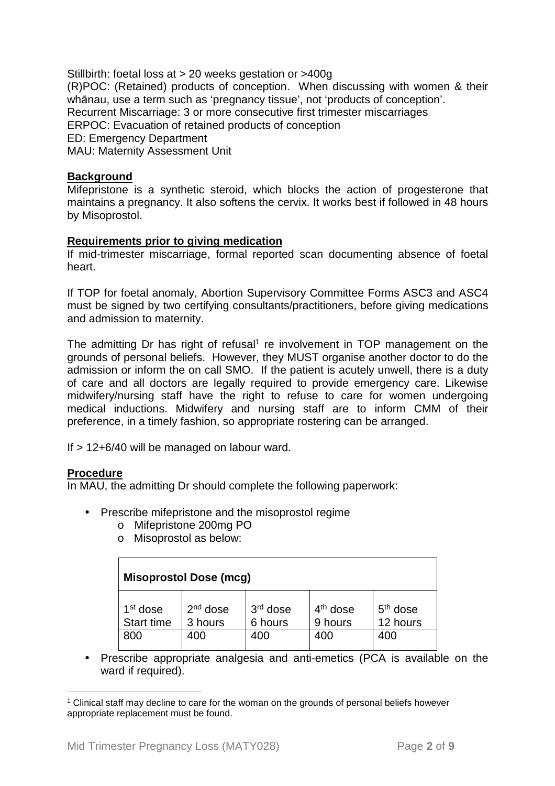Stillbirth: foetal loss at > 20 weeks gestation or >400g (R)POC: (Retained) products of conception. When discussing with women & their whānau, use a term such as 'pregnancy tissue', not 'products of conception'. Recurrent Miscarriage: 3 or more consecutive first trimester miscarriages ERPOC: Evacuation of retained products of conception ED: Emergency Department MAU: Maternity Assessment Unit

#### **Background**

Mifepristone is a synthetic steroid, which blocks the action of progesterone that maintains a pregnancy. It also softens the cervix. It works best if followed in 48 hours by Misoprostol.

#### **Requirements prior to giving medication**

If mid-trimester miscarriage, formal reported scan documenting absence of foetal heart.

If TOP for foetal anomaly, Abortion Supervisory Committee Forms ASC3 and ASC4 must be signed by two certifying consultants/practitioners, before giving medications and admission to maternity.

The admitting Dr has right of refusal<sup>1</sup> re involvement in TOP management on the grounds of personal beliefs. However, they MUST organise another doctor to do the admission or inform the on call SMO. If the patient is acutely unwell, there is a duty of care and all doctors are legally required to provide emergency care. Likewise midwifery/nursing staff have the right to refuse to care for women undergoing medical inductions. Midwifery and nursing staff are to inform CMM of their preference, in a timely fashion, so appropriate rostering can be arranged.

If  $> 12+6/40$  will be managed on labour ward.

# **Procedure**

In MAU, the admitting Dr should complete the following paperwork:

- Prescribe mifepristone and the misoprostol regime
	- o Mifepristone 200mg PO
	- o Misoprostol as below:

| $4th$ dose<br>9 hours | $5th$ dose<br>12 hours<br>400 |
|-----------------------|-------------------------------|
|                       | 400                           |

• Prescribe appropriate analgesia and anti-emetics (PCA is available on the ward if required).

 $\overline{a}$ 1 Clinical staff may decline to care for the woman on the grounds of personal beliefs however appropriate replacement must be found.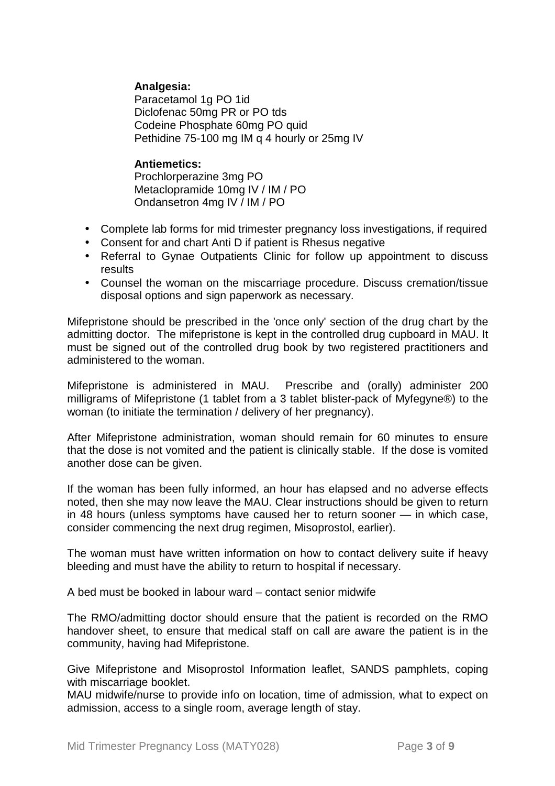# **Analgesia:**

Paracetamol 1g PO 1id Diclofenac 50mg PR or PO tds Codeine Phosphate 60mg PO quid Pethidine 75-100 mg IM q 4 hourly or 25mg IV

#### **Antiemetics:**

Prochlorperazine 3mg PO Metaclopramide 10mg IV / IM / PO Ondansetron 4mg IV / IM / PO

- Complete lab forms for mid trimester pregnancy loss investigations, if required
- Consent for and chart Anti D if patient is Rhesus negative
- Referral to Gynae Outpatients Clinic for follow up appointment to discuss results
- Counsel the woman on the miscarriage procedure. Discuss cremation/tissue disposal options and sign paperwork as necessary.

Mifepristone should be prescribed in the 'once only' section of the drug chart by the admitting doctor. The mifepristone is kept in the controlled drug cupboard in MAU. It must be signed out of the controlled drug book by two registered practitioners and administered to the woman.

Mifepristone is administered in MAU. Prescribe and (orally) administer 200 milligrams of Mifepristone (1 tablet from a 3 tablet blister-pack of Myfegyne®) to the woman (to initiate the termination / delivery of her pregnancy).

After Mifepristone administration, woman should remain for 60 minutes to ensure that the dose is not vomited and the patient is clinically stable. If the dose is vomited another dose can be given.

If the woman has been fully informed, an hour has elapsed and no adverse effects noted, then she may now leave the MAU. Clear instructions should be given to return in 48 hours (unless symptoms have caused her to return sooner — in which case, consider commencing the next drug regimen, Misoprostol, earlier).

The woman must have written information on how to contact delivery suite if heavy bleeding and must have the ability to return to hospital if necessary.

A bed must be booked in labour ward – contact senior midwife

The RMO/admitting doctor should ensure that the patient is recorded on the RMO handover sheet, to ensure that medical staff on call are aware the patient is in the community, having had Mifepristone.

Give Mifepristone and Misoprostol Information leaflet, SANDS pamphlets, coping with miscarriage booklet.

MAU midwife/nurse to provide info on location, time of admission, what to expect on admission, access to a single room, average length of stay.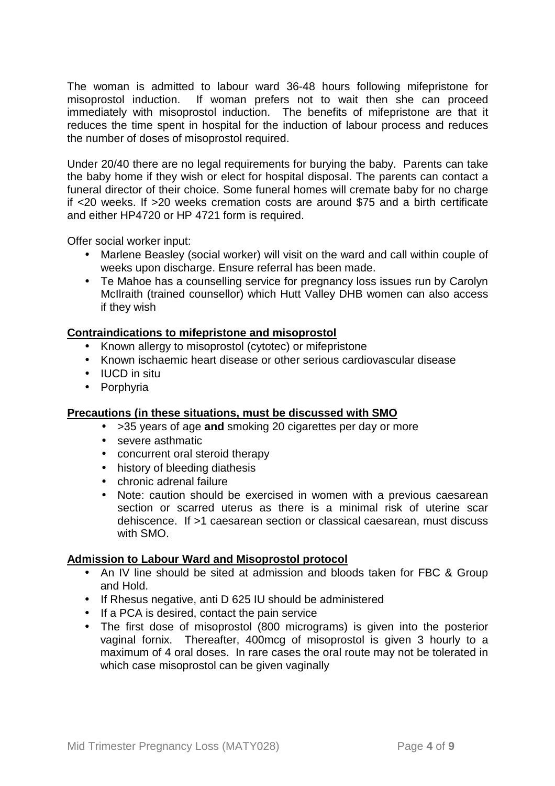The woman is admitted to labour ward 36-48 hours following mifepristone for misoprostol induction. If woman prefers not to wait then she can proceed immediately with misoprostol induction. The benefits of mifepristone are that it reduces the time spent in hospital for the induction of labour process and reduces the number of doses of misoprostol required.

Under 20/40 there are no legal requirements for burying the baby. Parents can take the baby home if they wish or elect for hospital disposal. The parents can contact a funeral director of their choice. Some funeral homes will cremate baby for no charge if <20 weeks. If >20 weeks cremation costs are around \$75 and a birth certificate and either HP4720 or HP 4721 form is required.

Offer social worker input:

- Marlene Beasley (social worker) will visit on the ward and call within couple of weeks upon discharge. Ensure referral has been made.
- Te Mahoe has a counselling service for pregnancy loss issues run by Carolyn McIlraith (trained counsellor) which Hutt Valley DHB women can also access if they wish

#### **Contraindications to mifepristone and misoprostol**

- Known allergy to misoprostol (cytotec) or mifepristone
- Known ischaemic heart disease or other serious cardiovascular disease
- IUCD in situ
- Porphyria

# **Precautions (in these situations, must be discussed with SMO**

- >35 years of age **and** smoking 20 cigarettes per day or more
- severe asthmatic
- concurrent oral steroid therapy
- history of bleeding diathesis
- chronic adrenal failure
- Note: caution should be exercised in women with a previous caesarean section or scarred uterus as there is a minimal risk of uterine scar dehiscence. If >1 caesarean section or classical caesarean, must discuss with SMO.

#### **Admission to Labour Ward and Misoprostol protocol**

- An IV line should be sited at admission and bloods taken for FBC & Group and Hold.
- If Rhesus negative, anti D 625 IU should be administered
- If a PCA is desired, contact the pain service
- The first dose of misoprostol (800 micrograms) is given into the posterior vaginal fornix. Thereafter, 400mcg of misoprostol is given 3 hourly to a maximum of 4 oral doses. In rare cases the oral route may not be tolerated in which case misoprostol can be given vaginally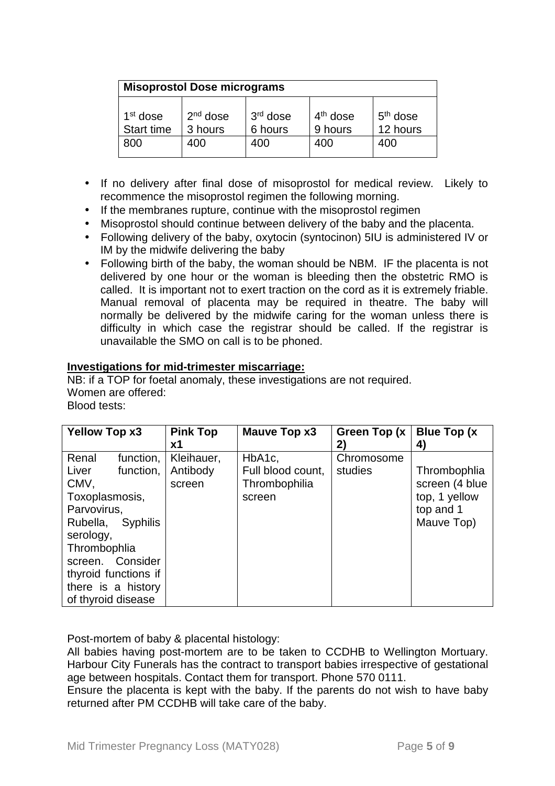| <b>Misoprostol Dose micrograms</b> |                       |                                 |                       |                        |
|------------------------------------|-----------------------|---------------------------------|-----------------------|------------------------|
| 1 <sup>st</sup> dose<br>Start time | $2nd$ dose<br>3 hours | 3 <sup>rd</sup> dose<br>6 hours | $4th$ dose<br>9 hours | $5th$ dose<br>12 hours |
| 800                                | 400                   | 400                             | 400                   | 400                    |

- If no delivery after final dose of misoprostol for medical review. Likely to recommence the misoprostol regimen the following morning.
- If the membranes rupture, continue with the misoprostol regimen
- Misoprostol should continue between delivery of the baby and the placenta.
- Following delivery of the baby, oxytocin (syntocinon) 5IU is administered IV or IM by the midwife delivering the baby
- Following birth of the baby, the woman should be NBM. IF the placenta is not delivered by one hour or the woman is bleeding then the obstetric RMO is called. It is important not to exert traction on the cord as it is extremely friable. Manual removal of placenta may be required in theatre. The baby will normally be delivered by the midwife caring for the woman unless there is difficulty in which case the registrar should be called. If the registrar is unavailable the SMO on call is to be phoned.

#### **Investigations for mid-trimester miscarriage:**

NB: if a TOP for foetal anomaly, these investigations are not required. Women are offered: Blood tests:

| <b>Yellow Top x3</b>                                                                                                                                                                                                                  | <b>Pink Top</b><br>x1            | Mauve Top x3                                           | Green Top (x)<br>2)   | <b>Blue Top (x)</b><br>4)                                                  |
|---------------------------------------------------------------------------------------------------------------------------------------------------------------------------------------------------------------------------------------|----------------------------------|--------------------------------------------------------|-----------------------|----------------------------------------------------------------------------|
| Renal<br>function,<br>Liver<br>function,<br>CMV,<br>Toxoplasmosis,<br>Parvovirus,<br>Rubella,<br><b>Syphilis</b><br>serology,<br>Thrombophlia<br>screen. Consider<br>thyroid functions if<br>there is a history<br>of thyroid disease | Kleihauer,<br>Antibody<br>screen | HbA1c,<br>Full blood count,<br>Thrombophilia<br>screen | Chromosome<br>studies | Thrombophlia<br>screen (4 blue<br>top, 1 yellow<br>top and 1<br>Mauve Top) |

Post-mortem of baby & placental histology:

All babies having post-mortem are to be taken to CCDHB to Wellington Mortuary. Harbour City Funerals has the contract to transport babies irrespective of gestational age between hospitals. Contact them for transport. Phone 570 0111.

Ensure the placenta is kept with the baby. If the parents do not wish to have baby returned after PM CCDHB will take care of the baby.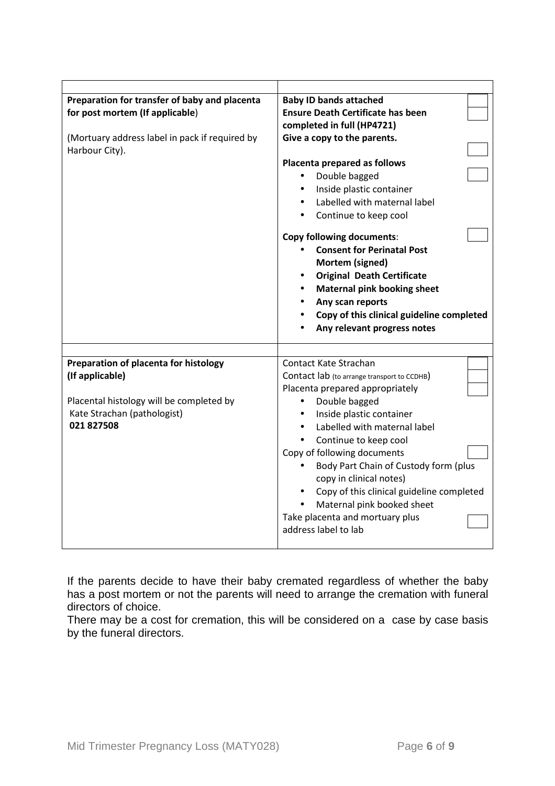| Preparation for transfer of baby and placenta  | <b>Baby ID bands attached</b>                  |  |
|------------------------------------------------|------------------------------------------------|--|
| for post mortem (If applicable)                | <b>Ensure Death Certificate has been</b>       |  |
|                                                | completed in full (HP4721)                     |  |
| (Mortuary address label in pack if required by | Give a copy to the parents.                    |  |
| Harbour City).                                 |                                                |  |
|                                                | Placenta prepared as follows                   |  |
|                                                | Double bagged                                  |  |
|                                                | Inside plastic container<br>$\bullet$          |  |
|                                                | Labelled with maternal label                   |  |
|                                                | Continue to keep cool                          |  |
|                                                |                                                |  |
|                                                | <b>Copy following documents:</b>               |  |
|                                                | <b>Consent for Perinatal Post</b>              |  |
|                                                | Mortem (signed)                                |  |
|                                                | <b>Original Death Certificate</b><br>$\bullet$ |  |
|                                                | <b>Maternal pink booking sheet</b>             |  |
|                                                | Any scan reports                               |  |
|                                                | Copy of this clinical guideline completed      |  |
|                                                | Any relevant progress notes                    |  |
|                                                |                                                |  |
|                                                |                                                |  |
| Preparation of placenta for histology          | Contact Kate Strachan                          |  |
| (If applicable)                                | Contact lab (to arrange transport to CCDHB)    |  |
|                                                | Placenta prepared appropriately                |  |
| Placental histology will be completed by       | Double bagged<br>$\bullet$                     |  |
| Kate Strachan (pathologist)                    | Inside plastic container<br>$\bullet$          |  |
| 021827508                                      | Labelled with maternal label                   |  |
|                                                | Continue to keep cool                          |  |
|                                                | Copy of following documents                    |  |
|                                                |                                                |  |
|                                                | $\bullet$                                      |  |
|                                                | Body Part Chain of Custody form (plus          |  |
|                                                | copy in clinical notes)                        |  |
|                                                | Copy of this clinical guideline completed      |  |
|                                                | Maternal pink booked sheet                     |  |
|                                                | Take placenta and mortuary plus                |  |
|                                                | address label to lab                           |  |

If the parents decide to have their baby cremated regardless of whether the baby has a post mortem or not the parents will need to arrange the cremation with funeral directors of choice.

There may be a cost for cremation, this will be considered on a case by case basis by the funeral directors.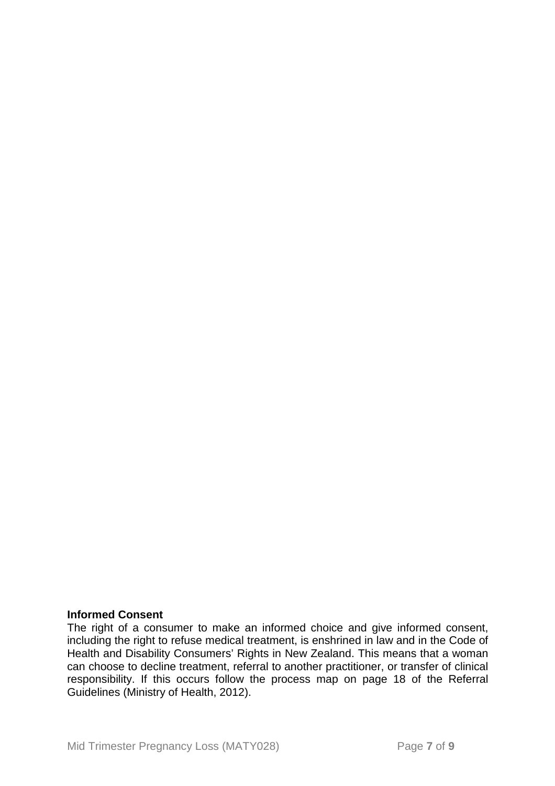#### **Informed Consent**

The right of a consumer to make an informed choice and give informed consent, including the right to refuse medical treatment, is enshrined in law and in the Code of Health and Disability Consumers' Rights in New Zealand. This means that a woman can choose to decline treatment, referral to another practitioner, or transfer of clinical responsibility. If this occurs follow the process map on page 18 of the Referral Guidelines (Ministry of Health, 2012).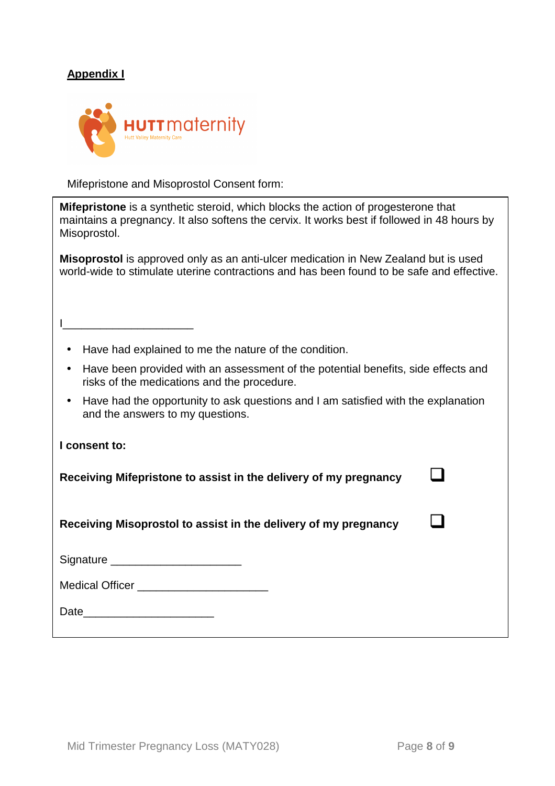# **Appendix I**



Mifepristone and Misoprostol Consent form:

| <b>Mifepristone</b> is a synthetic steroid, which blocks the action of progesterone that<br>maintains a pregnancy. It also softens the cervix. It works best if followed in 48 hours by<br>Misoprostol. |  |
|---------------------------------------------------------------------------------------------------------------------------------------------------------------------------------------------------------|--|
| Misoprostol is approved only as an anti-ulcer medication in New Zealand but is used<br>world-wide to stimulate uterine contractions and has been found to be safe and effective.                        |  |
|                                                                                                                                                                                                         |  |
| Have had explained to me the nature of the condition.                                                                                                                                                   |  |
| Have been provided with an assessment of the potential benefits, side effects and<br>risks of the medications and the procedure.                                                                        |  |
| Have had the opportunity to ask questions and I am satisfied with the explanation<br>$\bullet$<br>and the answers to my questions.                                                                      |  |
| I consent to:                                                                                                                                                                                           |  |
| Receiving Mifepristone to assist in the delivery of my pregnancy                                                                                                                                        |  |
| Receiving Misoprostol to assist in the delivery of my pregnancy                                                                                                                                         |  |
| Signature _________________________                                                                                                                                                                     |  |
| Medical Officer ______________________________                                                                                                                                                          |  |
|                                                                                                                                                                                                         |  |